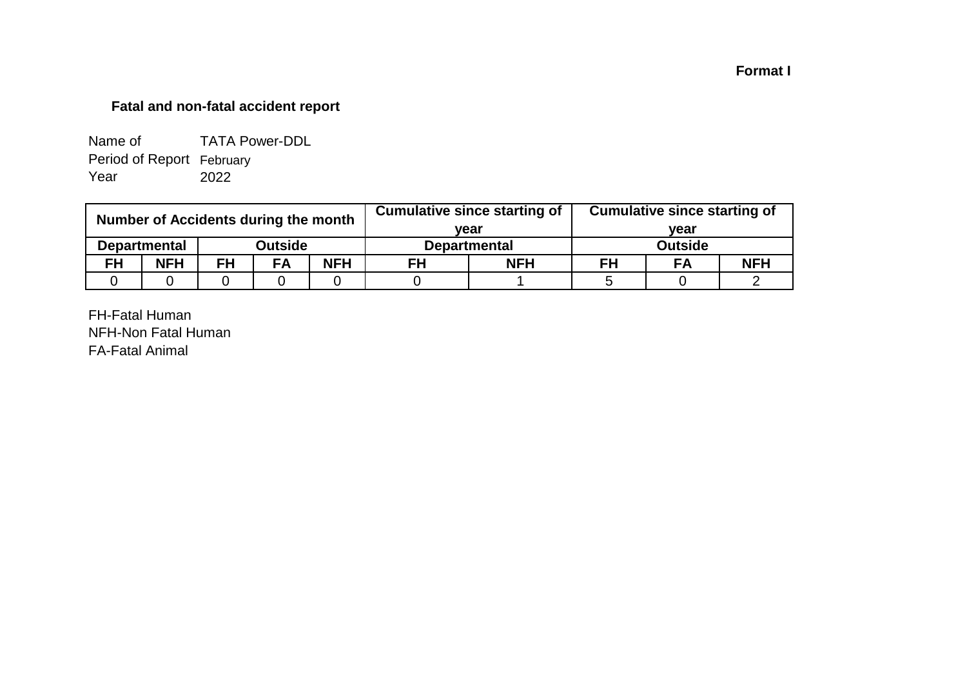## **Format I**

## **Fatal and non-fatal accident report**

| Name of                   | <b>TATA Power-DDL</b> |
|---------------------------|-----------------------|
| Period of Report February |                       |
| Year                      | 2022                  |

| Number of Accidents during the month |                     |           |           |            |                     | <b>Cumulative since starting of</b> | <b>Cumulative since starting of</b> |                |            |  |
|--------------------------------------|---------------------|-----------|-----------|------------|---------------------|-------------------------------------|-------------------------------------|----------------|------------|--|
|                                      |                     |           | vear      |            | vear                |                                     |                                     |                |            |  |
|                                      | <b>Departmental</b> |           | Outside   |            | <b>Departmental</b> |                                     |                                     | <b>Outside</b> |            |  |
| <b>FH</b>                            | <b>NFH</b>          | <b>FH</b> | <b>FA</b> | <b>NFH</b> | <b>NFH</b><br>FH    |                                     | FH                                  | FA             | <b>NFH</b> |  |
|                                      |                     |           |           |            |                     |                                     |                                     |                |            |  |

FH-Fatal Human NFH-Non Fatal Human FA-Fatal Animal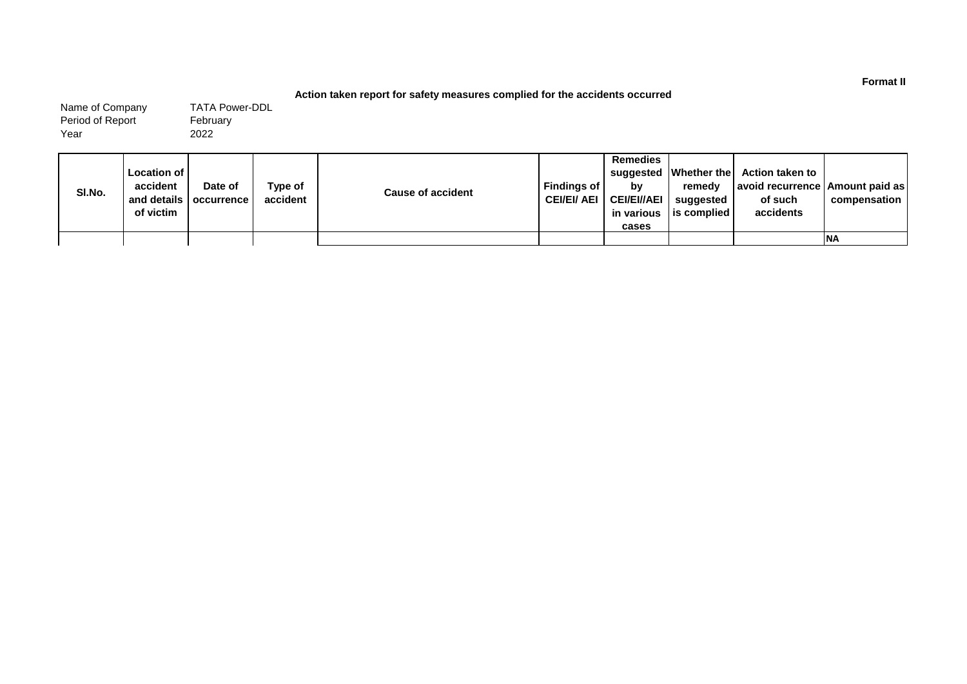#### **Action taken report for safety measures complied for the accidents occurred**

Name of Company Period of Report Year

February 2022 TATA Power-DDL

| SI.No. | <b>Location of I</b><br>accident<br>of victim | Date of<br>and details   occurrence | Type of<br>accident | <b>Cause of accident</b> | Findings of I<br>CEI/EI/ AEI | <b>Remedies</b><br>bv<br><b>CEI/EI//AEI</b><br>in various<br>cases | remedy<br>suggested<br>l is complied | suggested   Whether the   Action taken to<br>  avoid recurrence   Amount paid as  <br>of such<br>accidents | compensation |
|--------|-----------------------------------------------|-------------------------------------|---------------------|--------------------------|------------------------------|--------------------------------------------------------------------|--------------------------------------|------------------------------------------------------------------------------------------------------------|--------------|
|        |                                               |                                     |                     |                          |                              |                                                                    |                                      |                                                                                                            | <b>INA</b>   |

**Format II**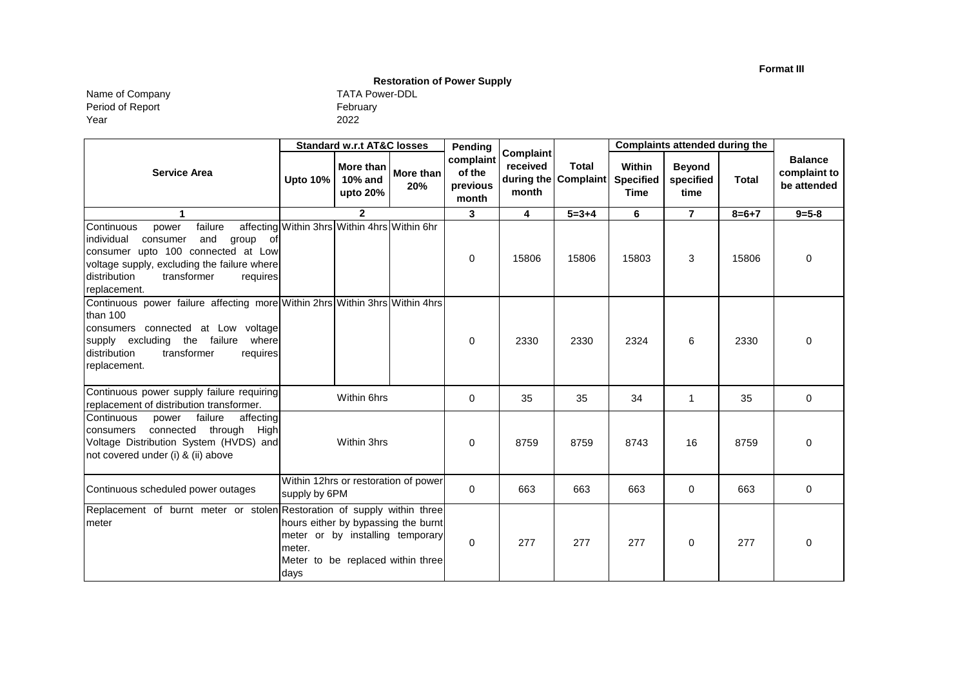**Format III**

## **Restoration of Power Supply**

Year Name of Company TATA Power-DDL Period of Report

|                                                                                                                                                                                                                                      |                                              | <b>Standard w.r.t AT&amp;C losses</b>     |                                                                                                              | Pending                                  | Complaint                       | <b>Total</b><br><b>Complaint</b> | <b>Complaints attended during the</b>     |                                    |              |                                               |
|--------------------------------------------------------------------------------------------------------------------------------------------------------------------------------------------------------------------------------------|----------------------------------------------|-------------------------------------------|--------------------------------------------------------------------------------------------------------------|------------------------------------------|---------------------------------|----------------------------------|-------------------------------------------|------------------------------------|--------------|-----------------------------------------------|
| <b>Service Area</b>                                                                                                                                                                                                                  | Upto 10%                                     | More than<br><b>10% and</b><br>upto $20%$ | More than<br>20%                                                                                             | complaint<br>of the<br>previous<br>month | received<br>during the<br>month |                                  | Within<br><b>Specified</b><br><b>Time</b> | <b>Beyond</b><br>specified<br>time | <b>Total</b> | <b>Balance</b><br>complaint to<br>be attended |
| 1                                                                                                                                                                                                                                    |                                              | $\mathbf{2}$                              |                                                                                                              | 3                                        | 4                               | $5 = 3 + 4$                      | 6                                         | $\overline{7}$                     | $8 = 6 + 7$  | $9 = 5 - 8$                                   |
| failure<br>Continuous<br>power<br>individual<br>and<br>consumer<br>group<br>- of<br>consumer upto 100 connected at Low<br>voltage supply, excluding the failure where<br>distribution<br>transformer<br>requires<br>replacement.     | affecting Within 3hrs Within 4hrs Within 6hr |                                           |                                                                                                              | 0                                        | 15806                           | 15806                            | 15803                                     | 3                                  | 15806        | $\mathbf 0$                                   |
| Continuous power failure affecting more Within 2hrs Within 3hrs Within 4hrs<br>than 100<br>consumers connected at Low voltage<br>supply excluding<br>the failure<br>where<br>distribution<br>transformer<br>requires<br>replacement. |                                              |                                           |                                                                                                              | $\mathbf 0$                              | 2330                            | 2330                             | 2324                                      | 6                                  | 2330         | $\Omega$                                      |
| Continuous power supply failure requiring<br>replacement of distribution transformer.                                                                                                                                                |                                              | Within 6hrs                               |                                                                                                              | 0                                        | 35                              | 35                               | 34                                        | $\mathbf 1$                        | 35           | 0                                             |
| Continuous<br>failure<br>affecting<br>power<br>connected<br>through<br>High<br>consumers<br>Voltage Distribution System (HVDS) and<br>not covered under (i) & (ii) above                                                             |                                              | Within 3hrs                               |                                                                                                              | 0                                        | 8759                            | 8759                             | 8743                                      | 16                                 | 8759         | 0                                             |
| Continuous scheduled power outages                                                                                                                                                                                                   | supply by 6PM                                |                                           | Within 12hrs or restoration of power                                                                         | 0                                        | 663                             | 663                              | 663                                       | 0                                  | 663          | 0                                             |
| Replacement of burnt meter or stolen Restoration of supply within three<br>meter                                                                                                                                                     | meter.<br>days                               |                                           | hours either by bypassing the burnt<br>meter or by installing temporary<br>Meter to be replaced within three | $\mathbf 0$                              | 277                             | 277                              | 277                                       | $\Omega$                           | 277          | $\Omega$                                      |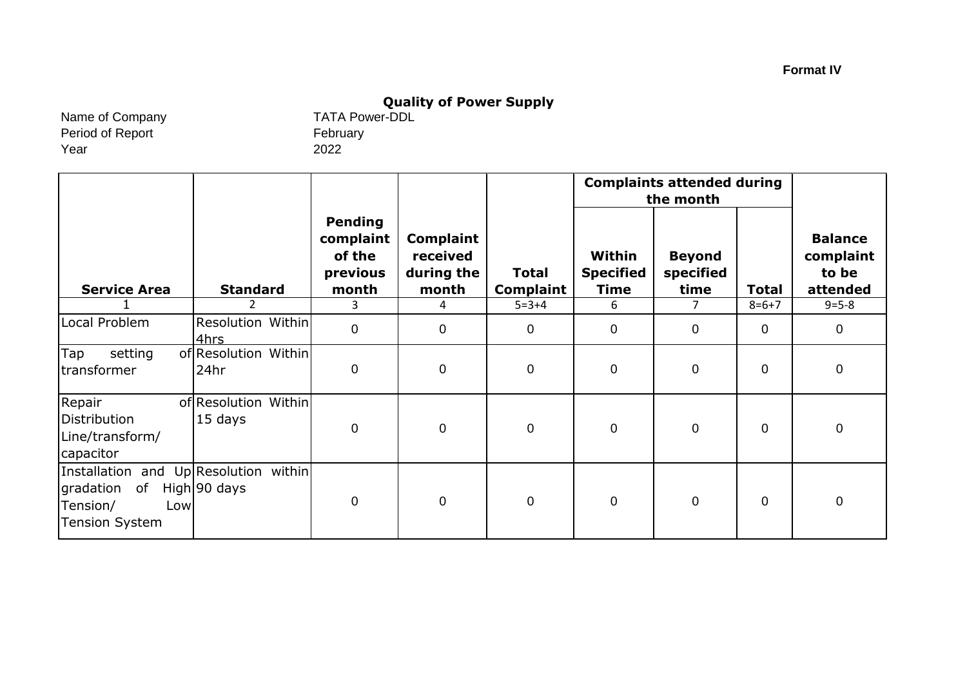# **Quality of Power Supply**<br>TATA Power-DDL

Name of Company Period of Report Year

February 2022

|                                                                                                   |                                 |                                                            |                                                     |                                  |                                           | <b>Complaints attended during</b><br>the month |                |                                                  |  |
|---------------------------------------------------------------------------------------------------|---------------------------------|------------------------------------------------------------|-----------------------------------------------------|----------------------------------|-------------------------------------------|------------------------------------------------|----------------|--------------------------------------------------|--|
| <b>Service Area</b>                                                                               | <b>Standard</b>                 | <b>Pending</b><br>complaint<br>of the<br>previous<br>month | <b>Complaint</b><br>received<br>during the<br>month | <b>Total</b><br><b>Complaint</b> | Within<br><b>Specified</b><br><b>Time</b> | <b>Beyond</b><br>specified<br>time             | <b>Total</b>   | <b>Balance</b><br>complaint<br>to be<br>attended |  |
|                                                                                                   |                                 | 3                                                          | 4                                                   | $5 = 3 + 4$                      | 6                                         | $\overline{7}$                                 | $8 = 6 + 7$    | $9 = 5 - 8$                                      |  |
| Local Problem                                                                                     | Resolution Within<br>4hrs       | $\mathbf 0$                                                | $\mathbf 0$                                         | $\mathbf 0$                      | $\overline{0}$                            | $\overline{0}$                                 | $\overline{0}$ | $\mathbf 0$                                      |  |
| Tap<br>setting<br>transformer                                                                     | of Resolution Within<br>24hr    | $\mathbf 0$                                                | $\pmb{0}$                                           | $\pmb{0}$                        | $\overline{0}$                            | $\overline{0}$                                 | $\overline{0}$ | $\mathbf 0$                                      |  |
| Repair<br>Distribution<br>Line/transform/<br>capacitor                                            | of Resolution Within<br>15 days | $\mathbf 0$                                                | $\mathbf 0$                                         | $\pmb{0}$                        | $\overline{0}$                            | $\overline{0}$                                 | $\overline{0}$ | $\mathbf 0$                                      |  |
| Installation and Up Resolution within<br>gradation of<br>Tension/<br>Low<br><b>Tension System</b> | High 90 days                    | $\mathbf 0$                                                | $\mathbf 0$                                         | $\mathbf 0$                      | $\mathbf{0}$                              | $\overline{0}$                                 | $\overline{0}$ | $\mathbf 0$                                      |  |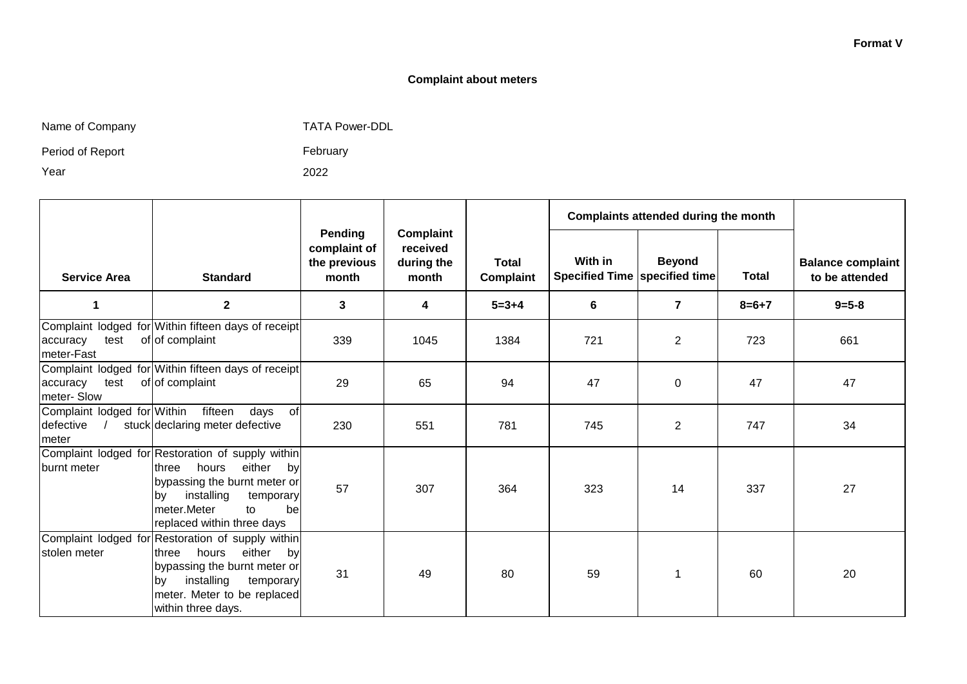#### **Format V**

#### **Complaint about meters**

|  | Name of Company |
|--|-----------------|
|--|-----------------|

any any the Company TATA Power-DDL

Period of Report

February

Year

2022

|                                                   |                                                                                                                                                                                                                            |                                                  |                                                     |                           | Complaints attended during the month     |                |              |                                            |
|---------------------------------------------------|----------------------------------------------------------------------------------------------------------------------------------------------------------------------------------------------------------------------------|--------------------------------------------------|-----------------------------------------------------|---------------------------|------------------------------------------|----------------|--------------|--------------------------------------------|
| <b>Service Area</b>                               | <b>Standard</b>                                                                                                                                                                                                            | Pending<br>complaint of<br>the previous<br>month | <b>Complaint</b><br>received<br>during the<br>month | <b>Total</b><br>Complaint | With in<br>Specified Time specified time | <b>Beyond</b>  | <b>Total</b> | <b>Balance complaint</b><br>to be attended |
| 1                                                 | $\mathbf{2}$                                                                                                                                                                                                               | 3                                                | 4                                                   | $5 = 3 + 4$               | 6                                        | $\overline{7}$ | $8 = 6 + 7$  | $9 = 5 - 8$                                |
| test<br>accuracy<br>meter-Fast                    | Complaint lodged for Within fifteen days of receipt<br>of of complaint                                                                                                                                                     | 339                                              | 1045                                                | 1384                      | 721                                      | $\overline{2}$ | 723          | 661                                        |
| test<br>accuracy<br>meter-Slow                    | Complaint lodged for Within fifteen days of receipt<br>of of complaint                                                                                                                                                     | 29                                               | 65                                                  | 94                        | 47                                       | $\mathbf 0$    | 47           | 47                                         |
| Complaint lodged for Within<br>defective<br>meter | fifteen<br>days of<br>stuck declaring meter defective                                                                                                                                                                      | 230                                              | 551                                                 | 781                       | 745                                      | $\overline{2}$ | 747          | 34                                         |
| burnt meter                                       | Complaint lodged for Restoration of supply within<br>hours<br>either<br>three<br>by<br>bypassing the burnt meter or<br>installing<br>temporary<br>lbv<br>meter.Meter<br>$\mathsf{to}$<br>bel<br>replaced within three days | 57                                               | 307                                                 | 364                       | 323                                      | 14             | 337          | 27                                         |
| stolen meter                                      | Complaint lodged for Restoration of supply within<br>hours<br>either<br>three<br>by<br>bypassing the burnt meter or<br>installing<br>temporary<br>lby<br>meter. Meter to be replaced<br>within three days.                 | 31                                               | 49                                                  | 80                        | 59                                       | 1              | 60           | 20                                         |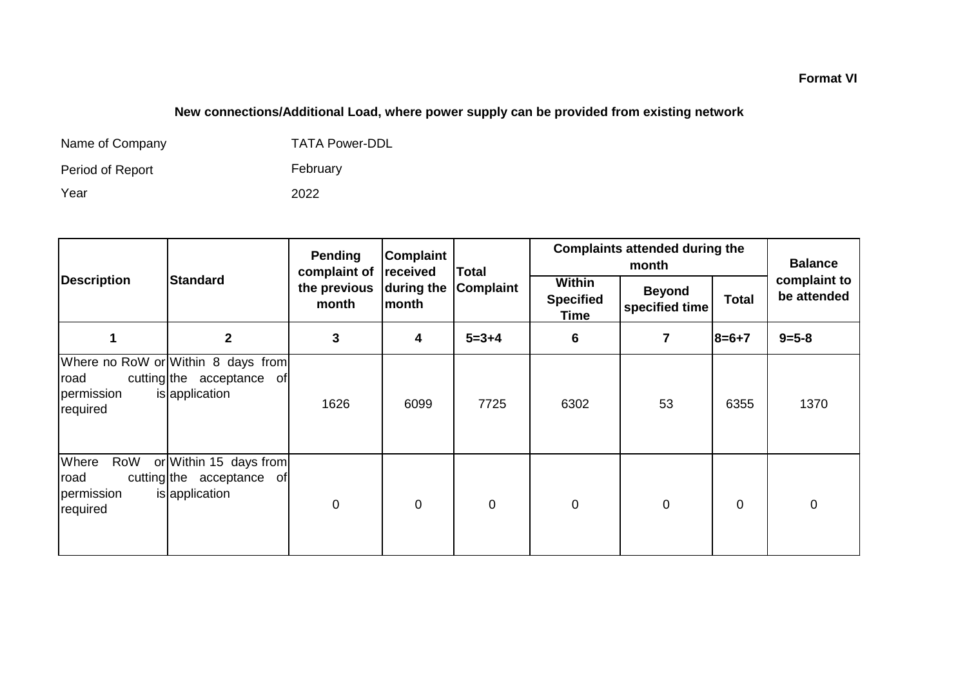## **New connections/Additional Load, where power supply can be provided from existing network**

| Name of Company  | <b>TATA Power-DDL</b> |
|------------------|-----------------------|
| Period of Report | February              |
| Year             | 2022                  |

|                                                |                                                                                   | Pending<br>complaint of | Complaint<br>received      | <b>Total</b>     | <b>Complaints attended during the</b>            | <b>Balance</b>                  |              |                             |
|------------------------------------------------|-----------------------------------------------------------------------------------|-------------------------|----------------------------|------------------|--------------------------------------------------|---------------------------------|--------------|-----------------------------|
| <b>Description</b>                             | <b>Standard</b>                                                                   | the previous<br>month   | during the<br><b>month</b> | <b>Complaint</b> | <b>Within</b><br><b>Specified</b><br><b>Time</b> | <b>Beyond</b><br>specified time | <b>Total</b> | complaint to<br>be attended |
|                                                | $\mathbf{2}$                                                                      | 3                       | 4                          | $5 = 3 + 4$      | 6                                                | 7                               | $8=6+7$      | $9 = 5 - 8$                 |
| road<br>permission<br>required                 | Where no RoW or Within 8 days from<br>cutting the acceptance of<br>is application | 1626                    | 6099                       | 7725             | 6302                                             | 53                              | 6355         | 1370                        |
| Where<br>RoW<br>road<br>permission<br>required | or Within 15 days from<br>cutting the acceptance of<br>is application             | 0                       | $\mathbf 0$                | $\mathbf 0$      | $\mathbf 0$                                      | $\mathbf 0$                     | $\mathbf 0$  | $\mathbf 0$                 |

**Format VI**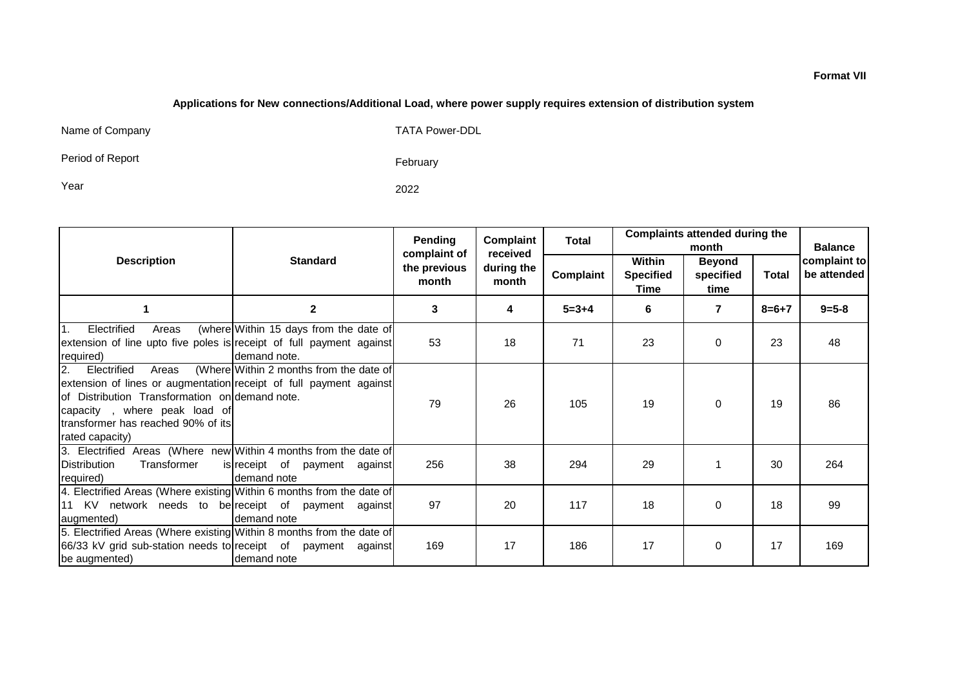#### **Applications for New connections/Additional Load, where power supply requires extension of distribution system**

Name of Company TATA Power-DDL

Period of Report

February

Year 2022

|                                                                                                                                                                                                                                                    |                                                        | Pending                               | Complaint                       | Total       | <b>Complaints attended during the</b><br>month |                                    |              | <b>Balance</b>              |
|----------------------------------------------------------------------------------------------------------------------------------------------------------------------------------------------------------------------------------------------------|--------------------------------------------------------|---------------------------------------|---------------------------------|-------------|------------------------------------------------|------------------------------------|--------------|-----------------------------|
| <b>Description</b>                                                                                                                                                                                                                                 | <b>Standard</b>                                        | complaint of<br>the previous<br>month | received<br>during the<br>month | Complaint   | Within<br><b>Specified</b><br>Time             | <b>Beyond</b><br>specified<br>time | <b>Total</b> | complaint to<br>be attended |
|                                                                                                                                                                                                                                                    | $\mathbf 2$                                            | 3                                     | 4                               | $5 = 3 + 4$ | 6                                              | 7                                  | $8 = 6 + 7$  | $9 = 5 - 8$                 |
| $\mathbf{1}$ .<br>Electrified<br>Areas<br>extension of line upto five poles is receipt of full payment against<br>required)                                                                                                                        | (where Within 15 days from the date of<br>demand note. | 53                                    | 18                              | 71          | 23                                             | $\Omega$                           | 23           | 48                          |
| Electrified<br><b>2.</b><br>Areas<br>extension of lines or augmentation receipt of full payment against<br>of Distribution Transformation on demand note.<br>capacity, where peak load of<br>transformer has reached 90% of its<br>rated capacity) | (Where Within 2 months from the date of                | 79                                    | 26                              | 105         | 19                                             | $\Omega$                           | 19           | 86                          |
| 3. Electrified Areas (Where new Within 4 months from the date of<br>Distribution<br>Transformer<br>required)                                                                                                                                       | is receipt of payment against<br>demand note           | 256                                   | 38                              | 294         | 29                                             |                                    | 30           | 264                         |
| 4. Electrified Areas (Where existing Within 6 months from the date of<br>11 KV network needs to be receipt of payment against<br>augmented)                                                                                                        | demand note                                            | 97                                    | 20                              | 117         | 18                                             | $\Omega$                           | 18           | 99                          |
| 5. Electrified Areas (Where existing Within 8 months from the date of<br>66/33 kV grid sub-station needs to receipt of payment against<br>be augmented)                                                                                            | demand note                                            | 169                                   | 17                              | 186         | 17                                             | $\Omega$                           | 17           | 169                         |

#### **Format VII**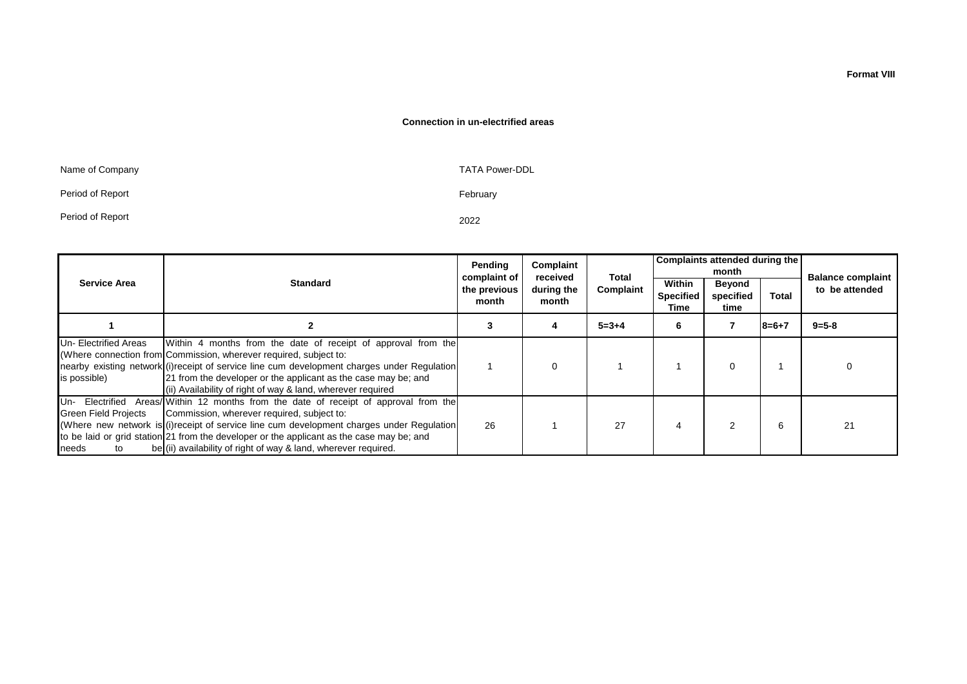#### **Connection in un-electrified areas**

| Name of Company  | <b>TATA Power-DDL</b> |
|------------------|-----------------------|
| Period of Report | February              |
| Period of Report | 2022                  |

|                                       |                                                                                                                                                                                                                                                                                                                                                                                                   | Pending<br>complaint of | Complaint<br>received | Total       |                                    | Complaints attended during the<br>month |             |                                            |  |
|---------------------------------------|---------------------------------------------------------------------------------------------------------------------------------------------------------------------------------------------------------------------------------------------------------------------------------------------------------------------------------------------------------------------------------------------------|-------------------------|-----------------------|-------------|------------------------------------|-----------------------------------------|-------------|--------------------------------------------|--|
| <b>Service Area</b>                   | <b>Standard</b>                                                                                                                                                                                                                                                                                                                                                                                   | the previous<br>month   | during the<br>month   | Complaint   | Within<br><b>Specified</b><br>Time | Beyond<br>specified<br>time             | Total       | <b>Balance complaint</b><br>to be attended |  |
|                                       |                                                                                                                                                                                                                                                                                                                                                                                                   | 3                       |                       | $5 = 3 + 4$ | 6                                  |                                         | $8 = 6 + 7$ | $9 = 5 - 8$                                |  |
| Un- Electrified Areas<br>is possible) | Within 4 months from the date of receipt of approval from the<br>(Where connection from Commission, wherever required, subject to:<br>nearby existing network (i) receipt of service line cum development charges under Regulation<br>[21 from the developer or the applicant as the case may be; and<br>(ii) Availability of right of way & land, wherever required                              |                         |                       |             |                                    | 0                                       |             |                                            |  |
| Green Field Projects<br>needs<br>to   | Un- Electrified Areas/ Within 12 months from the date of receipt of approval from the<br>Commission, wherever required, subject to:<br>(Where new network is (i) receipt of service line cum development charges under Regulation<br>to be laid or grid station 21 from the developer or the applicant as the case may be; and<br>be (ii) availability of right of way & land, wherever required. | 26                      |                       | 27          | 4                                  |                                         | 6           | 21                                         |  |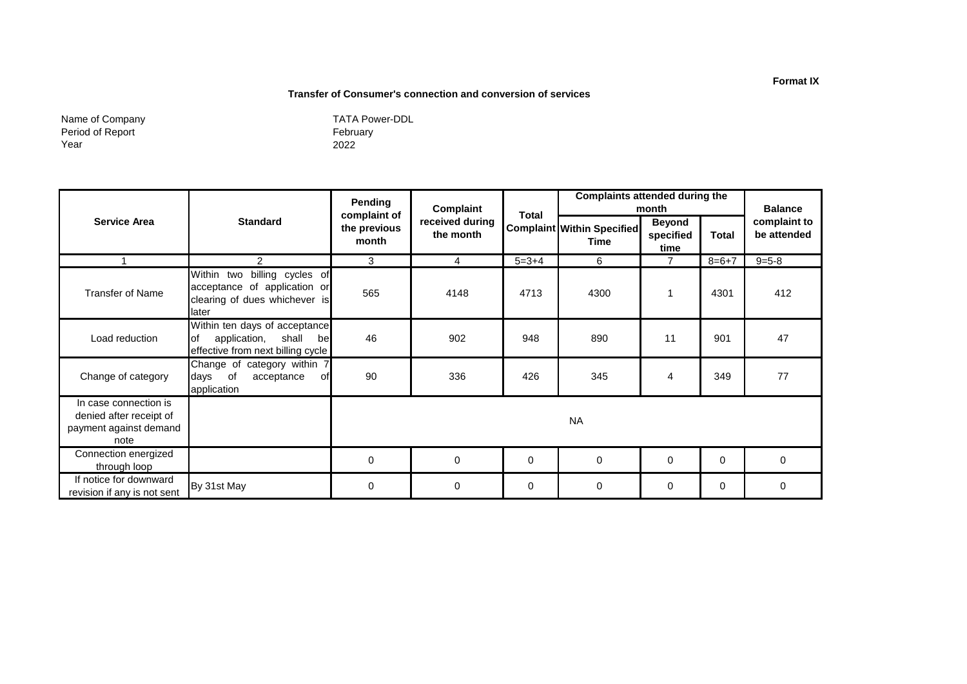#### **Transfer of Consumer's connection and conversion of services**

Name of Company Period of Report Year

February 2022 TATA Power-DDL

|                                                                                    |                                                                                                            | Pending                                                               | Complaint |              |                                                  | <b>Complaints attended during the</b><br>month |          |                             |
|------------------------------------------------------------------------------------|------------------------------------------------------------------------------------------------------------|-----------------------------------------------------------------------|-----------|--------------|--------------------------------------------------|------------------------------------------------|----------|-----------------------------|
| <b>Service Area</b>                                                                | <b>Standard</b>                                                                                            | complaint of<br>received during<br>the previous<br>the month<br>month |           | <b>Total</b> | <b>Complaint Within Specified</b><br><b>Time</b> | <b>Beyond</b><br>specified<br>time             | Total    | complaint to<br>be attended |
|                                                                                    | 2                                                                                                          | 3                                                                     | 4         | $5 = 3 + 4$  | 6                                                | $\overline{7}$                                 | $8=6+7$  | $9 = 5 - 8$                 |
| <b>Transfer of Name</b>                                                            | billing cycles of<br>Within two<br>acceptance of application or<br>clearing of dues whichever is<br>llater | 565                                                                   | 4148      | 4713         | 4300                                             |                                                | 4301     | 412                         |
| Load reduction                                                                     | Within ten days of acceptance<br>lof<br>shall<br>application,<br>bel<br>effective from next billing cycle  | 46                                                                    | 902       | 948          | 890                                              | 11                                             | 901      | 47                          |
| Change of category                                                                 | Change of category within 7<br>days of<br>acceptance<br>оf<br>application                                  | 90                                                                    | 336       | 426          | 345                                              | 4                                              | 349      | 77                          |
| In case connection is<br>denied after receipt of<br>payment against demand<br>note |                                                                                                            |                                                                       |           |              | <b>NA</b>                                        |                                                |          |                             |
| Connection energized<br>through loop                                               |                                                                                                            | $\mathbf 0$                                                           | $\Omega$  | $\mathbf 0$  | $\Omega$                                         | $\Omega$                                       | $\Omega$ | $\Omega$                    |
| If notice for downward<br>revision if any is not sent                              | By 31st May                                                                                                | 0                                                                     | 0         | 0            | 0                                                | 0                                              | 0        | 0                           |

#### **Format IX**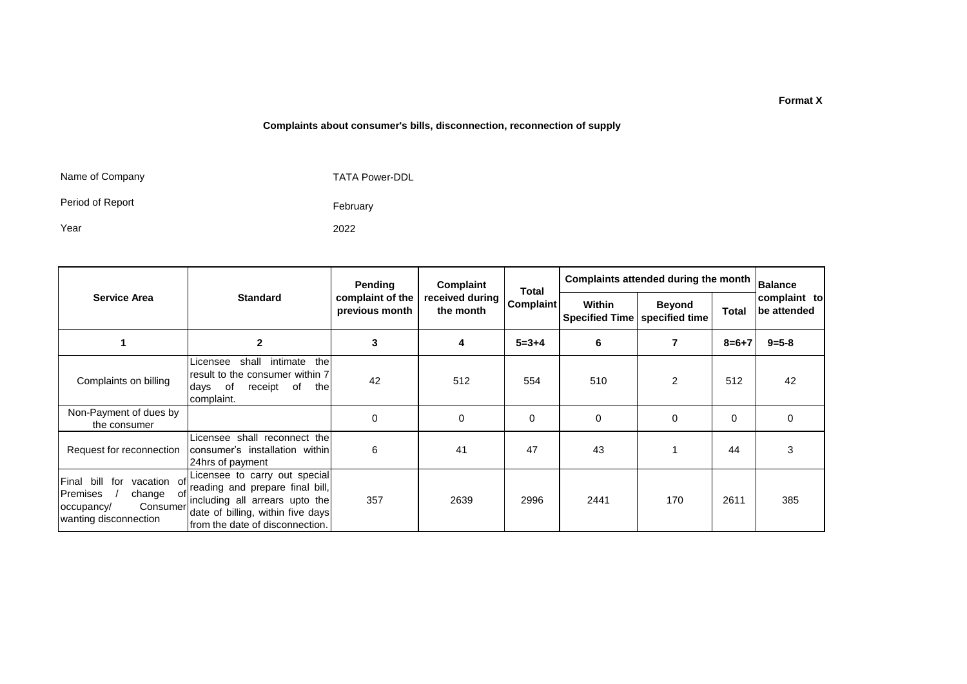#### **Complaints about consumer's bills, disconnection, reconnection of supply**

Name of Company

TATA Power-DDL

Period of Report

Year

2022

February

|                                                                                                                 |                                                                                                                                                                            | Pending  | Complaint<br>Total              |                                 | Complaints attended during the month | <b>Balance</b>              |             |             |
|-----------------------------------------------------------------------------------------------------------------|----------------------------------------------------------------------------------------------------------------------------------------------------------------------------|----------|---------------------------------|---------------------------------|--------------------------------------|-----------------------------|-------------|-------------|
| <b>Service Area</b>                                                                                             | received during<br><b>Standard</b><br>complaint of the<br><b>Complaint</b><br>previous month<br>the month                                                                  |          | Within<br><b>Specified Time</b> | <b>Beyond</b><br>specified time | Total                                | complaint to<br>be attended |             |             |
|                                                                                                                 | $\overline{2}$                                                                                                                                                             | 3        | 4                               | $5 = 3 + 4$                     | 6                                    | 7                           | $8 = 6 + 7$ | $9 = 5 - 8$ |
| Complaints on billing                                                                                           | the<br>intimate<br>shall<br>Licensee<br>result to the consumer within 7<br>of<br>receipt<br>of<br>the<br>days<br>complaint.                                                | 42       | 512                             | 554                             | 510                                  | 2                           | 512         | 42          |
| Non-Payment of dues by<br>the consumer                                                                          |                                                                                                                                                                            | $\Omega$ | $\Omega$                        | 0                               | $\Omega$                             | $\Omega$                    | 0           | $\Omega$    |
| Request for reconnection                                                                                        | Licensee shall reconnect the<br>consumer's installation within<br>24hrs of payment                                                                                         | 6        | 41                              | 47                              | 43                                   |                             | 44          | 3           |
| Final bill<br>for<br>vacation of<br>Premises<br>change<br>ot<br>Consumer<br>occupancy/<br>wanting disconnection | Licensee to carry out special<br>reading and prepare final bill,<br>including all arrears upto the<br>date of billing, within five days<br>from the date of disconnection. | 357      | 2639                            | 2996                            | 2441                                 | 170                         | 2611        | 385         |

#### **Format X**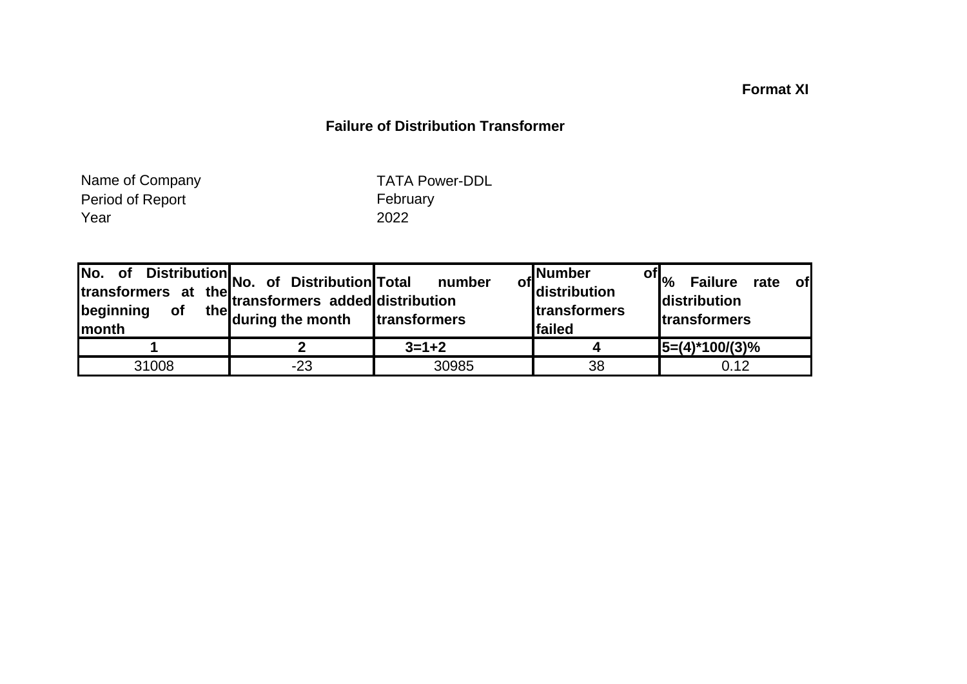## **Format XI**

## **Failure of Distribution Transformer**

Period of Report February Report February Report of Report of the Second Vector Second Period of Report of Te<br>The Second Period of Report of Team of Team 2022 Year 2022 Name of Company

TATA Power-DDL

| No.<br>of<br>transformers at<br>beginning<br><b>of</b><br>Imonth | Distribution No. of Distribution Total<br>the the transformers added distribution<br>the during the month | number<br>transformers | , Number<br><sup>of</sup> distribution<br><b>Itransformers</b><br>failed | of $\vert_{\%}$<br><b>Failure</b><br><b>of</b><br>rate<br>distribution<br><b>transformers</b> |
|------------------------------------------------------------------|-----------------------------------------------------------------------------------------------------------|------------------------|--------------------------------------------------------------------------|-----------------------------------------------------------------------------------------------|
|                                                                  |                                                                                                           | $3 = 1 + 2$            |                                                                          | $15=(4)*100/(3)%$                                                                             |
| 31008                                                            | $-23$                                                                                                     | 30985                  | 38                                                                       | 0.12                                                                                          |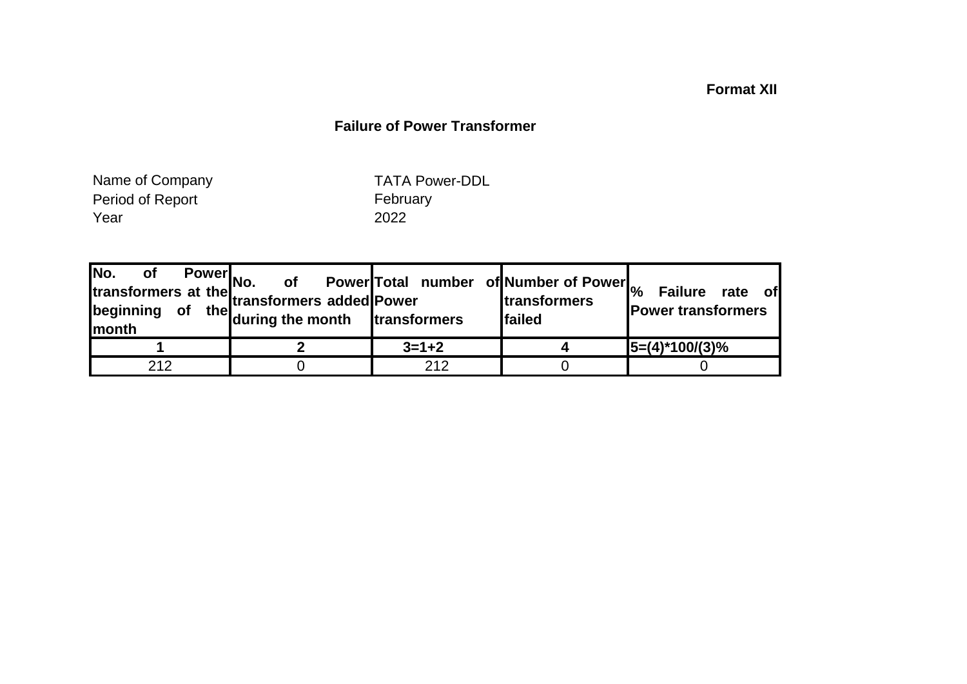## **Format XII**

## **Failure of Power Transformer**

Period of Report February Report February Report February Report of the Second Vector Second Vector Second Vector Second Vector Second Vector Second Vector Second Vector Second Vector Second Vector Second Vector Second Vec Year Name of Company

TATA Power-DDL

|     | Fower<br>Mo. of Fower<br>transformers added<br>Power<br>transformers<br>Let the during the month<br>transformers | Power Total number of Number of Power <sub>%</sub> | <b>Itransformers</b><br><b>Ifailed</b> | <b>Failure</b><br>rate of<br><b>Power transformers</b> |
|-----|------------------------------------------------------------------------------------------------------------------|----------------------------------------------------|----------------------------------------|--------------------------------------------------------|
|     |                                                                                                                  | $3 = 1 + 2$                                        |                                        | $5=(4)^*100/(3)%$                                      |
| 212 |                                                                                                                  | 212                                                |                                        |                                                        |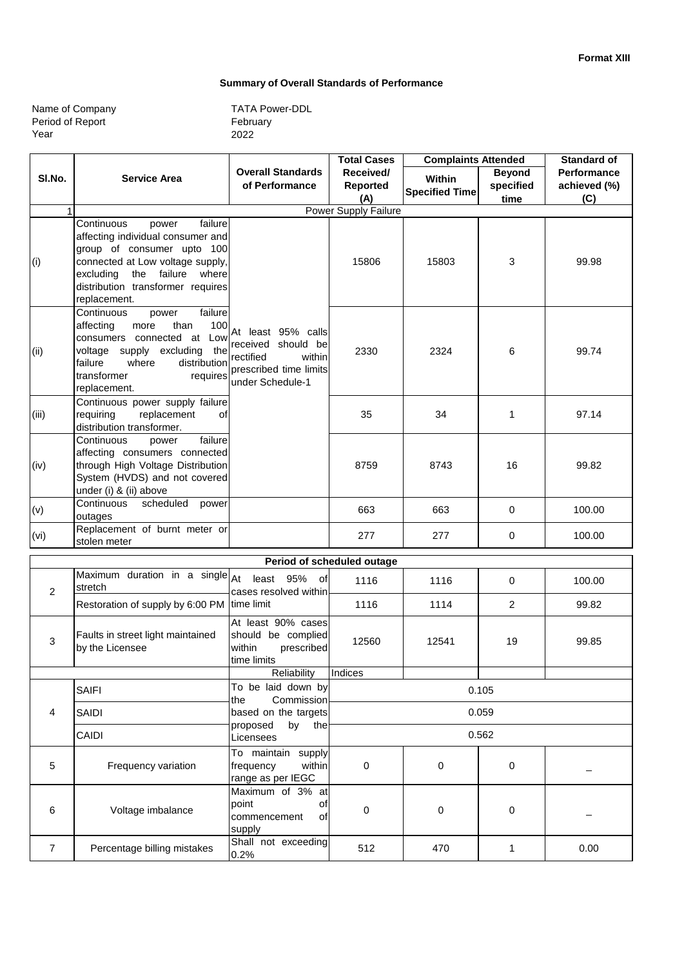#### **Summary of Overall Standards of Performance**

| Name of Company  |  |
|------------------|--|
| Period of Report |  |
| Year             |  |

|                | <b>Complaints Attended</b><br><b>Total Cases</b>                                                                                                                                                                |                                                                                                               |                            | Standard of           |                |                    |
|----------------|-----------------------------------------------------------------------------------------------------------------------------------------------------------------------------------------------------------------|---------------------------------------------------------------------------------------------------------------|----------------------------|-----------------------|----------------|--------------------|
| SI.No.         | <b>Service Area</b>                                                                                                                                                                                             | <b>Overall Standards</b>                                                                                      | Received/                  | Within                | <b>Beyond</b>  | <b>Performance</b> |
|                |                                                                                                                                                                                                                 | of Performance                                                                                                | Reported                   | <b>Specified Time</b> | specified      | achieved (%)       |
|                |                                                                                                                                                                                                                 |                                                                                                               | (A)                        |                       | time           | (C)                |
| $\mathbf{1}$   | failure<br>Continuous                                                                                                                                                                                           |                                                                                                               | Power Supply Failure       |                       |                |                    |
| (i)            | power<br>affecting individual consumer and<br>group of consumer upto 100<br>connected at Low voltage supply,<br>the failure where<br>excluding<br>distribution transformer requires<br>replacement.             |                                                                                                               | 15806                      | 15803                 | 3              | 99.98              |
| (ii)           | Continuous<br>failure<br>power<br>than<br>100<br>affecting<br>more<br>consumers connected at Low<br>voltage supply excluding the<br>failure<br>distribution<br>where<br>transformer<br>requires<br>replacement. | At least 95% calls<br>received should be<br>rectified<br>within<br>prescribed time limits<br>under Schedule-1 | 2330                       | 2324                  | 6              | 99.74              |
| (iii)          | Continuous power supply failure<br>requiring<br>replacement<br>οf<br>distribution transformer.                                                                                                                  |                                                                                                               | 35                         | 34                    | 1              | 97.14              |
| (iv)           | failure<br>Continuous<br>power<br>affecting consumers connected<br>through High Voltage Distribution<br>System (HVDS) and not covered<br>under (i) & (ii) above                                                 |                                                                                                               | 8759                       | 8743                  | 16             | 99.82              |
| (v)            | Continuous<br>scheduled<br>power<br>outages                                                                                                                                                                     |                                                                                                               | 663                        | 663                   | 0              | 100.00             |
| (vi)           | Replacement of burnt meter or<br>stolen meter                                                                                                                                                                   |                                                                                                               | 277                        | 277                   | 0              | 100.00             |
|                |                                                                                                                                                                                                                 |                                                                                                               | Period of scheduled outage |                       |                |                    |
| 2              | Maximum duration in a single $A$ t<br>stretch                                                                                                                                                                   | least 95% of<br>cases resolved within                                                                         | 1116                       | 1116                  | 0              | 100.00             |
|                | Restoration of supply by 6:00 PM                                                                                                                                                                                | time limit                                                                                                    | 1116                       | 1114                  | $\overline{2}$ | 99.82              |
| 3              | Faults in street light maintained<br>by the Licensee                                                                                                                                                            | At least 90% cases<br>should be complied<br>within<br>prescribed<br>time limits                               | 12560                      | 12541                 | 19             | 99.85              |
|                |                                                                                                                                                                                                                 | Reliability                                                                                                   | Indices                    |                       |                |                    |
|                | <b>SAIFI</b>                                                                                                                                                                                                    | To be laid down by<br>Commission<br>the                                                                       | 0.105                      |                       |                |                    |
| 4              | SAIDI                                                                                                                                                                                                           | based on the targets<br>proposed<br>by<br>the                                                                 | 0.059                      |                       |                |                    |
|                | CAIDI                                                                                                                                                                                                           | Licensees                                                                                                     | 0.562                      |                       |                |                    |
| 5              | Frequency variation                                                                                                                                                                                             | To maintain supply<br>frequency<br>within<br>range as per IEGC                                                | 0                          | 0                     | 0              |                    |
| 6              | Voltage imbalance                                                                                                                                                                                               | Maximum of 3% at<br>point<br>of<br>commencement<br>οf<br>supply                                               | 0                          | 0                     | 0              |                    |
| $\overline{7}$ | Percentage billing mistakes                                                                                                                                                                                     | Shall not exceeding<br>0.2%                                                                                   | 512                        | 470                   | 1              | 0.00               |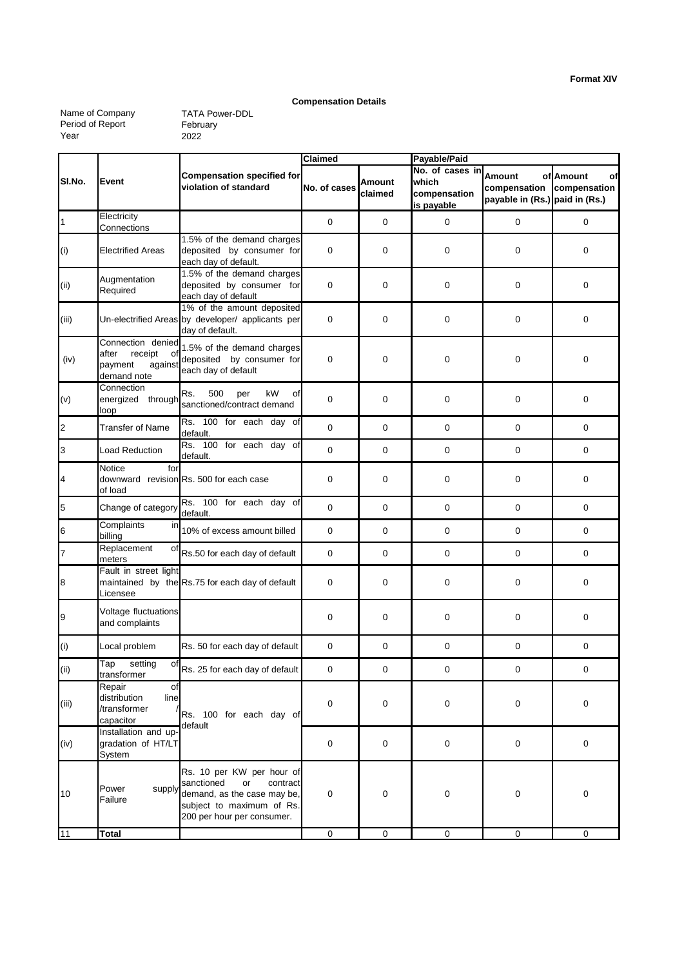#### **Compensation Details**

Name of Company Period of Report Year

|                          |                                                                                  |                                                                                                                                                     | Claimed        |                   | Payable/Paid                                           |                                                          |                                 |  |
|--------------------------|----------------------------------------------------------------------------------|-----------------------------------------------------------------------------------------------------------------------------------------------------|----------------|-------------------|--------------------------------------------------------|----------------------------------------------------------|---------------------------------|--|
| SI.No.                   | Event                                                                            | <b>Compensation specified for</b><br>violation of standard                                                                                          | No. of cases   | Amount<br>claimed | No. of cases in<br>which<br>compensation<br>is payable | Amount<br>compensation<br>payable in (Rs.) paid in (Rs.) | of Amount<br>of<br>compensation |  |
| $\overline{1}$           | Electricity<br>Connections                                                       |                                                                                                                                                     | 0              | 0                 | $\mathbf 0$                                            | 0                                                        | 0                               |  |
| $\left( i\right)$        | <b>Electrified Areas</b>                                                         | 1.5% of the demand charges<br>deposited by consumer for<br>each day of default.                                                                     | 0              | $\mathbf 0$       | $\mathbf 0$                                            | 0                                                        | 0                               |  |
| (i)                      | Augmentation<br>Required                                                         | 1.5% of the demand charges<br>deposited by consumer for<br>each day of default                                                                      | $\mathbf 0$    | $\mathbf 0$       | $\mathbf 0$                                            | 0                                                        | $\mathbf 0$                     |  |
| (iii)                    |                                                                                  | 1% of the amount deposited<br>Un-electrified Areas by developer/ applicants per<br>day of default.                                                  | 0              | $\mathbf 0$       | $\mathbf 0$                                            | 0                                                        | 0                               |  |
| (iv)                     | Connection denied<br>after<br>receipt<br>οf<br>payment<br>against<br>demand note | 1.5% of the demand charges<br>deposited by consumer for<br>each day of default                                                                      | 0              | $\mathbf 0$       | $\mathbf 0$                                            | 0                                                        | 0                               |  |
| (v)                      | Connection<br>energized through<br>loop                                          | Rs.<br>500<br>kW<br>per<br>οf<br>sanctioned/contract demand                                                                                         | 0              | 0                 | $\mathbf 0$                                            | 0                                                        | 0                               |  |
| $\overline{a}$           | <b>Transfer of Name</b>                                                          | Rs. 100 for each day of<br>default.                                                                                                                 | 0              | $\boldsymbol{0}$  | $\mathbf 0$                                            | 0                                                        | $\mathbf 0$                     |  |
| $\overline{\phantom{a}}$ | <b>Load Reduction</b>                                                            | Rs. 100 for each day of<br>default.                                                                                                                 | 0              | $\boldsymbol{0}$  | $\mathbf 0$                                            | 0                                                        | $\mathbf 0$                     |  |
| $\overline{\phantom{a}}$ | Notice<br>for<br>of load                                                         | downward revision Rs. 500 for each case                                                                                                             | 0              | 0                 | 0                                                      | 0                                                        | 0                               |  |
| 5                        | Change of category                                                               | Rs. 100 for each day of<br>default.                                                                                                                 | $\mathbf 0$    | $\mathbf 0$       | $\mathbf 0$                                            | 0                                                        | 0                               |  |
| $\overline{6}$           | Complaints<br>in<br>billing                                                      | 10% of excess amount billed                                                                                                                         | 0              | 0                 | $\mathbf 0$                                            | 0                                                        | 0                               |  |
| $\overline{7}$           | Replacement<br>of<br>meters                                                      | Rs.50 for each day of default                                                                                                                       | 0              | $\mathbf 0$       | $\mathbf 0$                                            | 0                                                        | $\mathbf 0$                     |  |
| $\boldsymbol{8}$         | Fault in street light<br>Licensee                                                | maintained by the Rs.75 for each day of default                                                                                                     | 0              | $\mathbf 0$       | $\mathbf 0$                                            | 0                                                        | $\mathbf 0$                     |  |
| 9                        | Voltage fluctuations<br>and complaints                                           |                                                                                                                                                     | 0              | $\boldsymbol{0}$  | $\mathbf 0$                                            | 0                                                        | 0                               |  |
| (i)                      | Local problem                                                                    | Rs. 50 for each day of default                                                                                                                      | 0              | $\boldsymbol{0}$  | $\mathbf 0$                                            | 0                                                        | 0                               |  |
| (i)                      | Tap setting<br>of<br>transformer                                                 | Rs. 25 for each day of default                                                                                                                      | $\mathbf 0$    | $\pmb{0}$         | $\mathbf 0$                                            | 0                                                        | $\mathbf 0$                     |  |
| (iii)                    | Repair<br>of<br>distribution<br>line<br>/transformer<br>capacitor                | Rs. 100 for each day of                                                                                                                             | 0              | 0                 | $\pmb{0}$                                              | 0                                                        | $\pmb{0}$                       |  |
| (iv)                     | Installation and up-<br>gradation of HT/LT<br>System                             | default                                                                                                                                             | 0              | 0                 | $\pmb{0}$                                              | $\pmb{0}$                                                | $\pmb{0}$                       |  |
| 10                       | Power<br>supply<br>Failure                                                       | Rs. 10 per KW per hour of<br>sanctioned<br>or<br>contract<br>demand, as the case may be,<br>subject to maximum of Rs.<br>200 per hour per consumer. | 0              | 0                 | 0                                                      | 0                                                        | $\pmb{0}$                       |  |
| 11                       | <b>Total</b>                                                                     |                                                                                                                                                     | $\overline{0}$ | $\mathbf 0$       | $\pmb{0}$                                              | $\mathbf 0$                                              | $\mathbf 0$                     |  |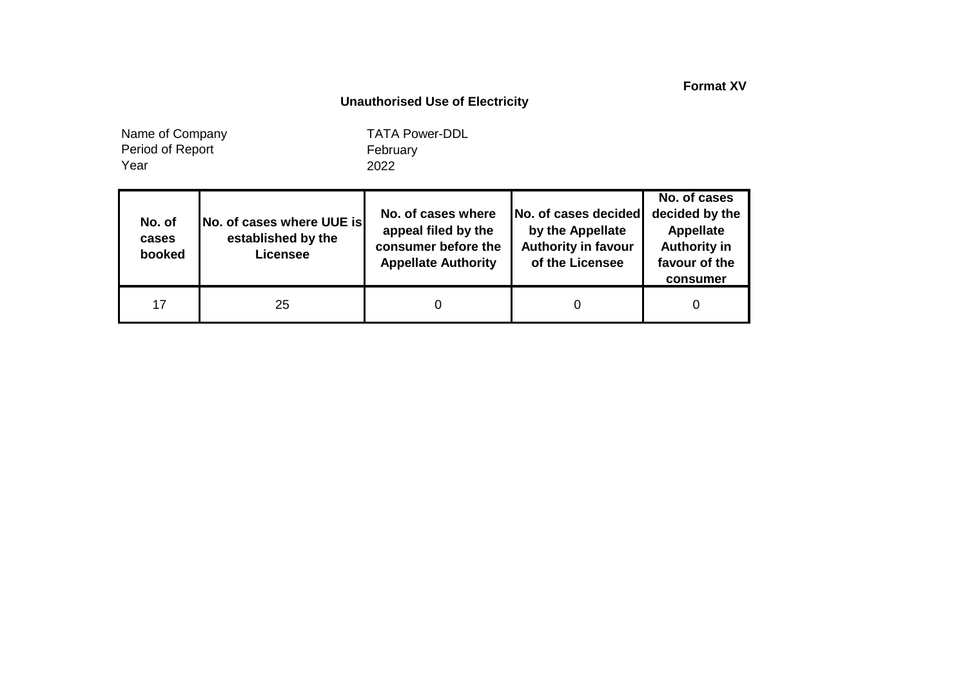**Format XV**

### **Unauthorised Use of Electricity**

Year Name of Company Period of Report

| No. of<br>cases<br>booked | No. of cases where UUE is<br>established by the<br><b>Licensee</b> | No. of cases where<br>appeal filed by the<br>consumer before the<br><b>Appellate Authority</b> | No. of cases decided<br>by the Appellate<br><b>Authority in favour</b><br>of the Licensee | No. of cases<br>decided by the<br><b>Appellate</b><br><b>Authority in</b><br>favour of the<br>consumer |
|---------------------------|--------------------------------------------------------------------|------------------------------------------------------------------------------------------------|-------------------------------------------------------------------------------------------|--------------------------------------------------------------------------------------------------------|
| 17                        | 25                                                                 |                                                                                                |                                                                                           |                                                                                                        |